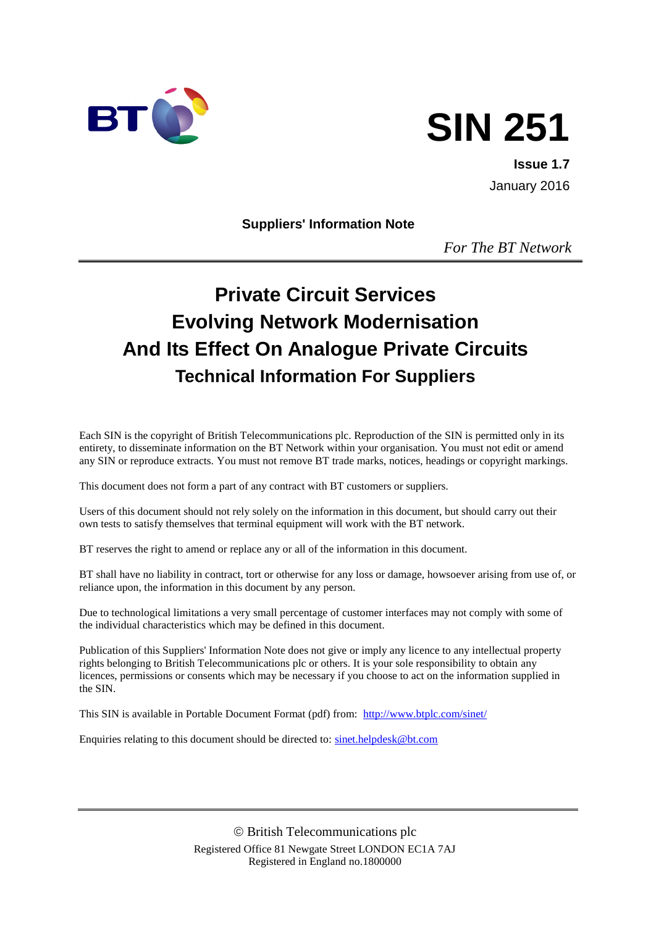

# **SIN 251**

**Issue 1.7** January 2016

**Suppliers' Information Note**

*For The BT Network*

# **Private Circuit Services Evolving Network Modernisation And Its Effect On Analogue Private Circuits Technical Information For Suppliers**

Each SIN is the copyright of British Telecommunications plc. Reproduction of the SIN is permitted only in its entirety, to disseminate information on the BT Network within your organisation. You must not edit or amend any SIN or reproduce extracts. You must not remove BT trade marks, notices, headings or copyright markings.

This document does not form a part of any contract with BT customers or suppliers.

Users of this document should not rely solely on the information in this document, but should carry out their own tests to satisfy themselves that terminal equipment will work with the BT network.

BT reserves the right to amend or replace any or all of the information in this document.

BT shall have no liability in contract, tort or otherwise for any loss or damage, howsoever arising from use of, or reliance upon, the information in this document by any person.

Due to technological limitations a very small percentage of customer interfaces may not comply with some of the individual characteristics which may be defined in this document.

Publication of this Suppliers' Information Note does not give or imply any licence to any intellectual property rights belonging to British Telecommunications plc or others. It is your sole responsibility to obtain any licences, permissions or consents which may be necessary if you choose to act on the information supplied in the SIN.

This SIN is available in Portable Document Format (pdf) from: <http://www.btplc.com/sinet/>

Enquiries relating to this document should be directed to: [sinet.helpdesk@bt.com](mailto:sinet.helpdesk@bt.com)

 British Telecommunications plc Registered Office 81 Newgate Street LONDON EC1A 7AJ Registered in England no.1800000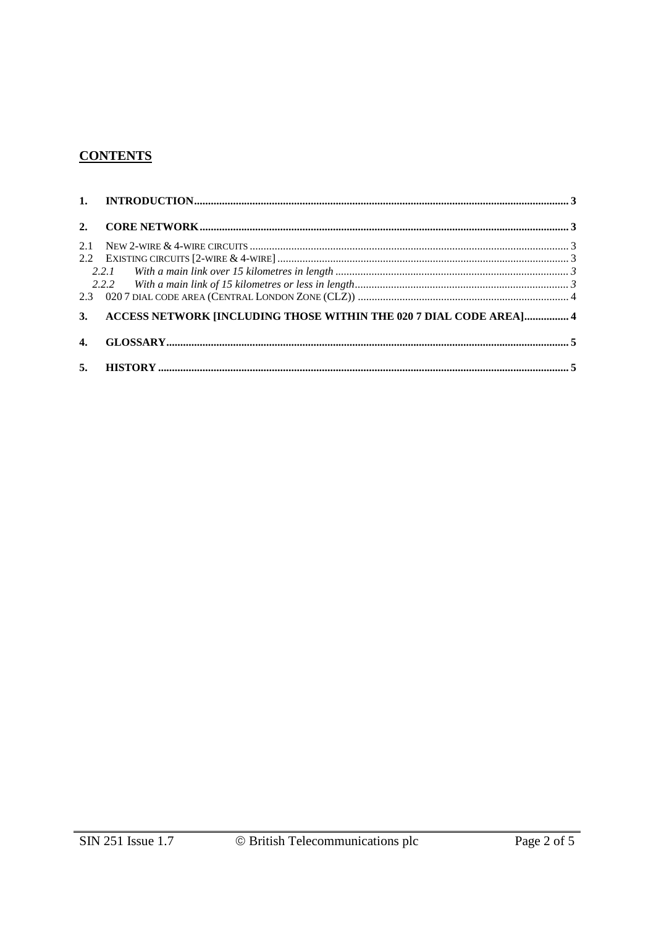# **CONTENTS**

| 2.1          |                                                                       |  |
|--------------|-----------------------------------------------------------------------|--|
|              |                                                                       |  |
|              |                                                                       |  |
|              |                                                                       |  |
|              |                                                                       |  |
|              | 3. ACCESS NETWORK [INCLUDING THOSE WITHIN THE 020 7 DIAL CODE AREA] 4 |  |
| $\mathbf{4}$ |                                                                       |  |
|              |                                                                       |  |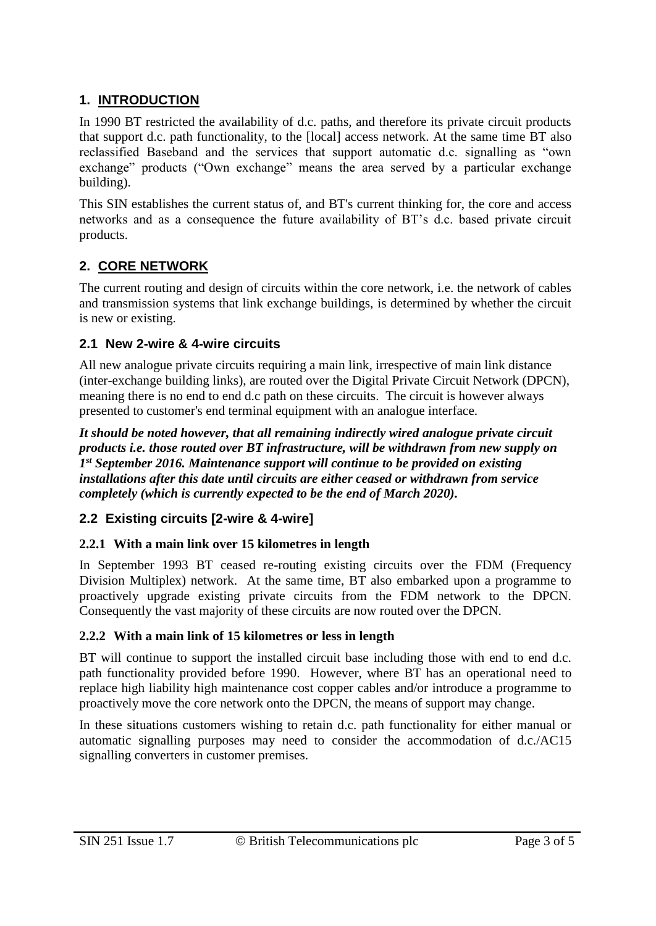# **1. INTRODUCTION**

In 1990 BT restricted the availability of d.c. paths, and therefore its private circuit products that support d.c. path functionality, to the [local] access network. At the same time BT also reclassified Baseband and the services that support automatic d.c. signalling as "own exchange" products ("Own exchange" means the area served by a particular exchange building).

This SIN establishes the current status of, and BT's current thinking for, the core and access networks and as a consequence the future availability of BT's d.c. based private circuit products.

# **2. CORE NETWORK**

The current routing and design of circuits within the core network, i.e. the network of cables and transmission systems that link exchange buildings, is determined by whether the circuit is new or existing.

#### **2.1 New 2-wire & 4-wire circuits**

All new analogue private circuits requiring a main link, irrespective of main link distance (inter-exchange building links), are routed over the Digital Private Circuit Network (DPCN), meaning there is no end to end d.c path on these circuits. The circuit is however always presented to customer's end terminal equipment with an analogue interface.

*It should be noted however, that all remaining indirectly wired analogue private circuit products i.e. those routed over BT infrastructure, will be withdrawn from new supply on 1 st September 2016. Maintenance support will continue to be provided on existing installations after this date until circuits are either ceased or withdrawn from service completely (which is currently expected to be the end of March 2020).* 

# **2.2 Existing circuits [2-wire & 4-wire]**

#### **2.2.1 With a main link over 15 kilometres in length**

In September 1993 BT ceased re-routing existing circuits over the FDM (Frequency Division Multiplex) network. At the same time, BT also embarked upon a programme to proactively upgrade existing private circuits from the FDM network to the DPCN. Consequently the vast majority of these circuits are now routed over the DPCN.

#### **2.2.2 With a main link of 15 kilometres or less in length**

BT will continue to support the installed circuit base including those with end to end d.c. path functionality provided before 1990. However, where BT has an operational need to replace high liability high maintenance cost copper cables and/or introduce a programme to proactively move the core network onto the DPCN, the means of support may change.

In these situations customers wishing to retain d.c. path functionality for either manual or automatic signalling purposes may need to consider the accommodation of d.c./AC15 signalling converters in customer premises.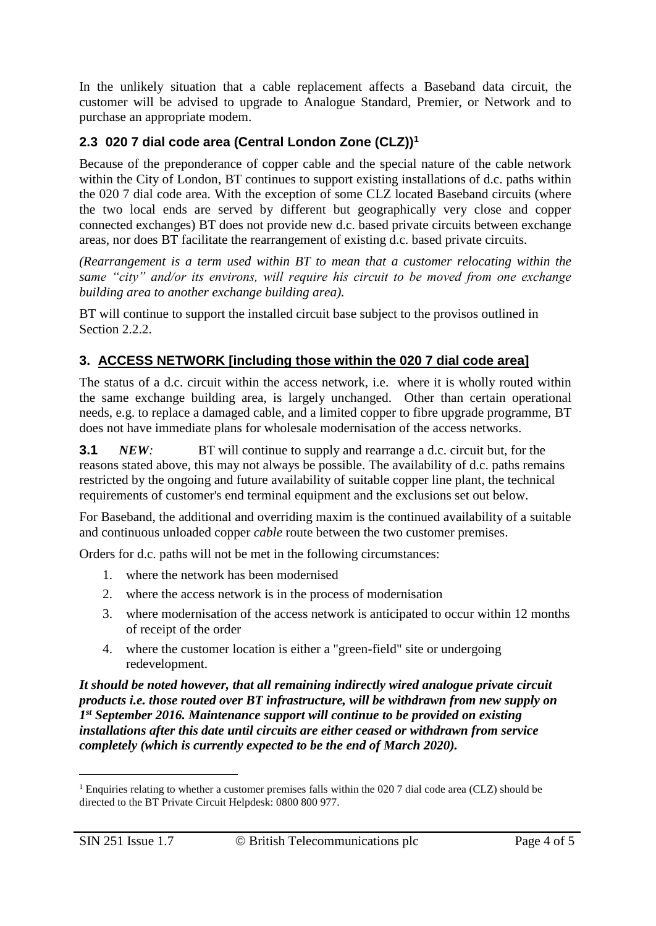In the unlikely situation that a cable replacement affects a Baseband data circuit, the customer will be advised to upgrade to Analogue Standard, Premier, or Network and to purchase an appropriate modem.

### **2.3 020 7 dial code area (Central London Zone (CLZ))<sup>1</sup>**

Because of the preponderance of copper cable and the special nature of the cable network within the City of London, BT continues to support existing installations of d.c. paths within the 020 7 dial code area. With the exception of some CLZ located Baseband circuits (where the two local ends are served by different but geographically very close and copper connected exchanges) BT does not provide new d.c. based private circuits between exchange areas, nor does BT facilitate the rearrangement of existing d.c. based private circuits.

*(Rearrangement is a term used within BT to mean that a customer relocating within the same "city" and/or its environs, will require his circuit to be moved from one exchange building area to another exchange building area).*

BT will continue to support the installed circuit base subject to the provisos outlined in Section 2.2.2.

# **3. ACCESS NETWORK [including those within the 020 7 dial code area]**

The status of a d.c. circuit within the access network, i.e. where it is wholly routed within the same exchange building area, is largely unchanged. Other than certain operational needs, e.g. to replace a damaged cable, and a limited copper to fibre upgrade programme, BT does not have immediate plans for wholesale modernisation of the access networks.

**3.1** *NEW:* BT will continue to supply and rearrange a d.c. circuit but, for the reasons stated above, this may not always be possible. The availability of d.c. paths remains restricted by the ongoing and future availability of suitable copper line plant, the technical requirements of customer's end terminal equipment and the exclusions set out below.

For Baseband, the additional and overriding maxim is the continued availability of a suitable and continuous unloaded copper *cable* route between the two customer premises.

Orders for d.c. paths will not be met in the following circumstances:

- 1. where the network has been modernised
- 2. where the access network is in the process of modernisation
- 3. where modernisation of the access network is anticipated to occur within 12 months of receipt of the order
- 4. where the customer location is either a "green-field" site or undergoing redevelopment.

*It should be noted however, that all remaining indirectly wired analogue private circuit products i.e. those routed over BT infrastructure, will be withdrawn from new supply on 1 st September 2016. Maintenance support will continue to be provided on existing installations after this date until circuits are either ceased or withdrawn from service completely (which is currently expected to be the end of March 2020).* 

-

<sup>&</sup>lt;sup>1</sup> Enquiries relating to whether a customer premises falls within the 020 7 dial code area (CLZ) should be directed to the BT Private Circuit Helpdesk: 0800 800 977.